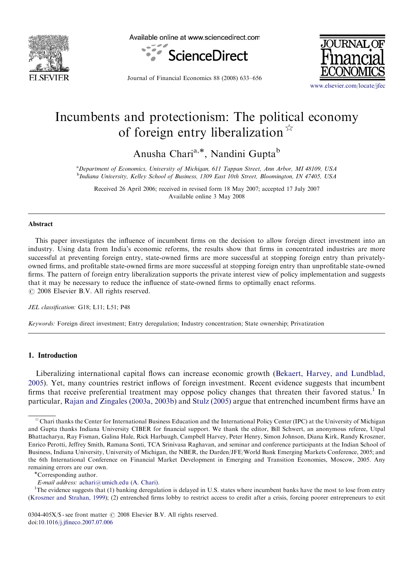

Available online at www.sciencedirect.com



Journal of Financial Economics 88 (2008) 633–656



<www.elsevier.com/locate/jfec>

## Incumbents and protectionism: The political economy of foreign entry liberalization  $\overline{X}$

Anusha Chari<sup>a,\*</sup>, Nandini Gupta<sup>b</sup>

<sup>a</sup> Department of Economics, University of Michigan, 611 Tappan Street, Ann Arbor, MI 48109, USA <sup>b</sup>Indiana University, Kelley School of Business, 1309 East 10th Street, Bloomington, IN 47405, USA

Received 26 April 2006; received in revised form 18 May 2007; accepted 17 July 2007 Available online 3 May 2008

## Abstract

This paper investigates the influence of incumbent firms on the decision to allow foreign direct investment into an industry. Using data from India's economic reforms, the results show that firms in concentrated industries are more successful at preventing foreign entry, state-owned firms are more successful at stopping foreign entry than privatelyowned firms, and profitable state-owned firms are more successful at stopping foreign entry than unprofitable state-owned firms. The pattern of foreign entry liberalization supports the private interest view of policy implementation and suggests that it may be necessary to reduce the influence of state-owned firms to optimally enact reforms.  $\odot$  2008 Elsevier B.V. All rights reserved.

JEL classification: G18; L11; L51; P48

Keywords: Foreign direct investment; Entry deregulation; Industry concentration; State ownership; Privatization

## 1. Introduction

Liberalizing international capital flows can increase economic growth [\(Bekaert, Harvey, and Lundblad,](#page--1-0) [2005\)](#page--1-0). Yet, many countries restrict inflows of foreign investment. Recent evidence suggests that incumbent firms that receive preferential treatment may oppose policy changes that threaten their favored status.<sup>1</sup> In particular, [Rajan and Zingales \(2003a, 2003b\)](#page--1-0) and [Stulz \(2005\)](#page--1-0) argue that entrenched incumbent firms have an

Corresponding author.

E-mail address: [achari@umich.edu \(A. Chari\).](mailto:achari@umich.edu) <sup>1</sup>

<sup>1</sup>The evidence suggests that (1) banking deregulation is delayed in U.S. states where incumbent banks have the most to lose from entry ([Kroszner and Strahan, 1999](#page--1-0)); (2) entrenched firms lobby to restrict access to credit after a crisis, forcing poorer entrepreneurs to exit

Chari thanks the Center for International Business Education and the International Policy Center (IPC) at the University of Michigan and Gupta thanks Indiana University CIBER for financial support. We thank the editor, Bill Schwert, an anonymous referee, Utpal Bhattacharya, Ray Fisman, Galina Hale, Rick Harbaugh, Campbell Harvey, Peter Henry, Simon Johnson, Diana Kirk, Randy Kroszner, Enrico Perotti, Jeffrey Smith, Ramana Sonti, TCA Srinivasa Raghavan, and seminar and conference participants at the Indian School of Business, Indiana University, University of Michigan, the NBER, the Darden/JFE/World Bank Emerging Markets Conference, 2005; and the 6th International Conference on Financial Market Development in Emerging and Transition Economies, Moscow, 2005. Any remaining errors are our own.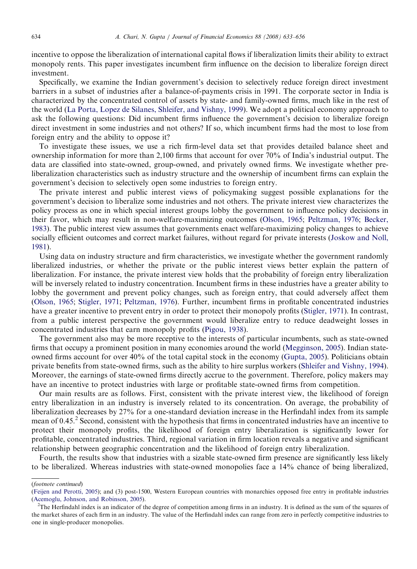incentive to oppose the liberalization of international capital flows if liberalization limits their ability to extract monopoly rents. This paper investigates incumbent firm influence on the decision to liberalize foreign direct investment.

Specifically, we examine the Indian government's decision to selectively reduce foreign direct investment barriers in a subset of industries after a balance-of-payments crisis in 1991. The corporate sector in India is characterized by the concentrated control of assets by state- and family-owned firms, much like in the rest of the world [\(La Porta, Lopez de Silanes, Shleifer, and Vishny, 1999\)](#page--1-0). We adopt a political economy approach to ask the following questions: Did incumbent firms influence the government's decision to liberalize foreign direct investment in some industries and not others? If so, which incumbent firms had the most to lose from foreign entry and the ability to oppose it?

To investigate these issues, we use a rich firm-level data set that provides detailed balance sheet and ownership information for more than 2,100 firms that account for over 70% of India's industrial output. The data are classified into state-owned, group-owned, and privately owned firms. We investigate whether preliberalization characteristics such as industry structure and the ownership of incumbent firms can explain the government's decision to selectively open some industries to foreign entry.

The private interest and public interest views of policymaking suggest possible explanations for the government's decision to liberalize some industries and not others. The private interest view characterizes the policy process as one in which special interest groups lobby the government to influence policy decisions in their favor, which may result in non-welfare-maximizing outcomes [\(Olson, 1965](#page--1-0); [Peltzman, 1976;](#page--1-0) [Becker,](#page--1-0) [1983](#page--1-0)). The public interest view assumes that governments enact welfare-maximizing policy changes to achieve socially efficient outcomes and correct market failures, without regard for private interests [\(Joskow and Noll,](#page--1-0) [1981](#page--1-0)).

Using data on industry structure and firm characteristics, we investigate whether the government randomly liberalized industries, or whether the private or the public interest views better explain the pattern of liberalization. For instance, the private interest view holds that the probability of foreign entry liberalization will be inversely related to industry concentration. Incumbent firms in these industries have a greater ability to lobby the government and prevent policy changes, such as foreign entry, that could adversely affect them ([Olson, 1965](#page--1-0); [Stigler, 1971](#page--1-0); [Peltzman, 1976](#page--1-0)). Further, incumbent firms in profitable concentrated industries have a greater incentive to prevent entry in order to protect their monopoly profits ([Stigler, 1971](#page--1-0)). In contrast, from a public interest perspective the government would liberalize entry to reduce deadweight losses in concentrated industries that earn monopoly profits [\(Pigou, 1938](#page--1-0)).

The government also may be more receptive to the interests of particular incumbents, such as state-owned firms that occupy a prominent position in many economies around the world ([Megginson, 2005](#page--1-0)). Indian stateowned firms account for over 40% of the total capital stock in the economy ([Gupta, 2005\)](#page--1-0). Politicians obtain private benefits from state-owned firms, such as the ability to hire surplus workers [\(Shleifer and Vishny, 1994](#page--1-0)). Moreover, the earnings of state-owned firms directly accrue to the government. Therefore, policy makers may have an incentive to protect industries with large or profitable state-owned firms from competition.

Our main results are as follows. First, consistent with the private interest view, the likelihood of foreign entry liberalization in an industry is inversely related to its concentration. On average, the probability of liberalization decreases by 27% for a one-standard deviation increase in the Herfindahl index from its sample mean of 0.45.<sup>2</sup> Second, consistent with the hypothesis that firms in concentrated industries have an incentive to protect their monopoly profits, the likelihood of foreign entry liberalization is significantly lower for profitable, concentrated industries. Third, regional variation in firm location reveals a negative and significant relationship between geographic concentration and the likelihood of foreign entry liberalization.

Fourth, the results show that industries with a sizable state-owned firm presence are significantly less likely to be liberalized. Whereas industries with state-owned monopolies face a 14% chance of being liberalized,

<sup>(</sup>footnote continued)

<sup>(</sup>[Feijen and Perotti, 2005](#page--1-0)); and (3) post-1500, Western European countries with monarchies opposed free entry in profitable industries ([Acemoglu, Johnson, and Robinson, 2005\)](#page--1-0). <sup>2</sup>

 $T$ The Herfindahl index is an indicator of the degree of competition among firms in an industry. It is defined as the sum of the squares of the market shares of each firm in an industry. The value of the Herfindahl index can range from zero in perfectly competitive industries to one in single-producer monopolies.